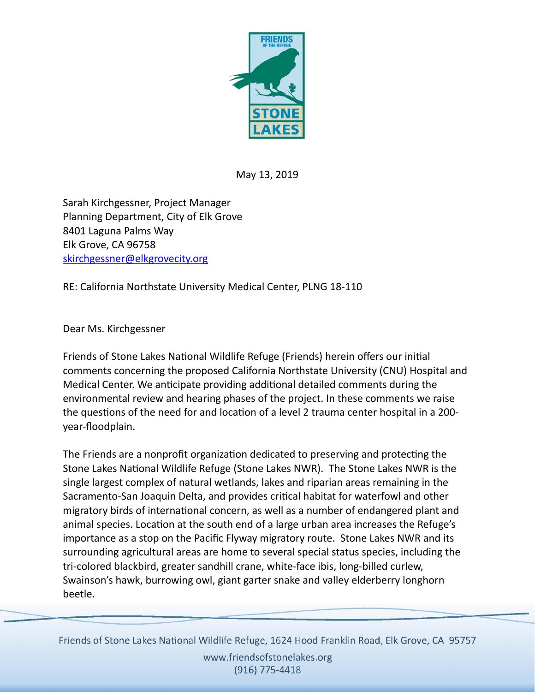

May 13, 2019

Sarah Kirchgessner, Project Manager Planning Department, City of Elk Grove 8401 Laguna Palms Way Elk Grove, CA 96758 [skirchgessner@elkgrovecity.org](mailto:skirchgessner@elkgrovecity.org)

RE: California Northstate University Medical Center, PLNG 18-110

Dear Ms. Kirchgessner

Friends of Stone Lakes National Wildlife Refuge (Friends) herein offers our initial comments concerning the proposed California Northstate University (CNU) Hospital and Medical Center. We anticipate providing additional detailed comments during the environmental review and hearing phases of the project. In these comments we raise the questions of the need for and location of a level 2 trauma center hospital in a 200year-floodplain.

The Friends are a nonprofit organization dedicated to preserving and protecting the Stone Lakes National Wildlife Refuge (Stone Lakes NWR). The Stone Lakes NWR is the single largest complex of natural wetlands, lakes and riparian areas remaining in the Sacramento-San Joaquin Delta, and provides critical habitat for waterfowl and other migratory birds of international concern, as well as a number of endangered plant and animal species. Location at the south end of a large urban area increases the Refuge's importance as a stop on the Pacific Flyway migratory route. Stone Lakes NWR and its surrounding agricultural areas are home to several special status species, including the tri-colored blackbird, greater sandhill crane, white-face ibis, long-billed curlew, Swainson's hawk, burrowing owl, giant garter snake and valley elderberry longhorn beetle.

Friends of Stone Lakes National Wildlife Refuge, 1624 Hood Franklin Road, Elk Grove, CA 95757 www.friendsofstonelakes.org (916) 775-4418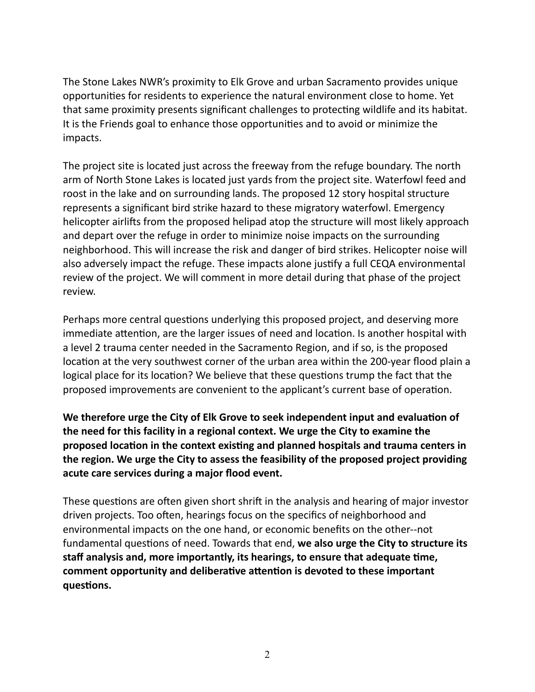The Stone Lakes NWR's proximity to Elk Grove and urban Sacramento provides unique opportunities for residents to experience the natural environment close to home. Yet that same proximity presents significant challenges to protecting wildlife and its habitat. It is the Friends goal to enhance those opportunities and to avoid or minimize the impacts.

The project site is located just across the freeway from the refuge boundary. The north arm of North Stone Lakes is located just yards from the project site. Waterfowl feed and roost in the lake and on surrounding lands. The proposed 12 story hospital structure represents a significant bird strike hazard to these migratory waterfowl. Emergency helicopter airlifs from the proposed helipad atop the structure will most likely approach and depart over the refuge in order to minimize noise impacts on the surrounding neighborhood. This will increase the risk and danger of bird strikes. Helicopter noise will also adversely impact the refuge. These impacts alone justify a full CEQA environmental review of the project. We will comment in more detail during that phase of the project review.

Perhaps more central questions underlying this proposed project, and deserving more immediate attention, are the larger issues of need and location. Is another hospital with a level 2 trauma center needed in the Sacramento Region, and if so, is the proposed location at the very southwest corner of the urban area within the 200-year flood plain a logical place for its location? We believe that these questions trump the fact that the proposed improvements are convenient to the applicant's current base of operation.

We therefore urge the City of Elk Grove to seek independent input and evaluation of **the need for this facility in a regional context. We urge the City to examine the proposed location in the context existing and planned hospitals and trauma centers in the region. We urge the City to assess the feasibility of the proposed project providing acute care services during a major flood event.** 

These questions are often given short shrift in the analysis and hearing of major investor driven projects. Too often, hearings focus on the specifics of neighborhood and environmental impacts on the one hand, or economic benefits on the other--not fundamental questions of need. Towards that end, we also urge the City to structure its staff analysis and, more importantly, its hearings, to ensure that adequate time, comment opportunity and deliberative attention is devoted to these important questions.